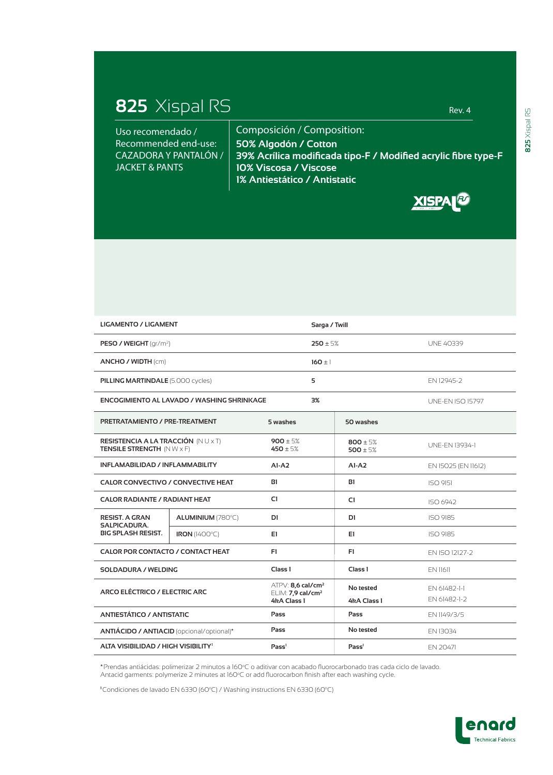## **825** Xispal RS Rev. 4

Uso recomendado / Recommended end-use: CAZADORA Y PANTALÓN / JACKET & PANTS

Composición / Composition: **50% Algodón / Cotton 39% Acrílica modificada tipo-F / Modified acrylic fibre type-F 10% Viscosa / Viscose 1% Antiestático / Antistatic**

**XISPALE** 

| <b>LIGAMENTO / LIGAMENT</b>                                                           |                      |                                                                  | Sarga / Twill |                            |                         |
|---------------------------------------------------------------------------------------|----------------------|------------------------------------------------------------------|---------------|----------------------------|-------------------------|
| <b>PESO / WEIGHT</b> ( $qr/m2$ )                                                      |                      |                                                                  | $250 \pm 5%$  |                            | <b>UNE 40339</b>        |
| ANCHO / WIDTH (cm)                                                                    |                      |                                                                  | $160 \pm 1$   |                            |                         |
| <b>PILLING MARTINDALE (5.000 cycles)</b>                                              |                      |                                                                  | 5             |                            | EN 12945-2              |
| ENCOGIMIENTO AL LAVADO / WASHING SHRINKAGE                                            |                      |                                                                  | 3%            |                            | <b>UNE-EN ISO 15797</b> |
| <b>PRETRATAMIENTO / PRE-TREATMENT</b>                                                 |                      | 5 washes                                                         |               | 50 washes                  |                         |
| RESISTENCIA A LA TRACCIÓN (NU $\times$ T)<br><b>TENSILE STRENGTH</b> $(N W \times F)$ |                      | 900 ± 5%<br>$450 \pm 5%$                                         |               | $800 \pm 5%$<br>500 ± $5%$ | UNE-EN 13934-1          |
| INFLAMABILIDAD / INFLAMMABILITY                                                       |                      | $AI-AZ$                                                          |               | $AI- A2$                   | EN 15025 (EN 11612)     |
| <b>CALOR CONVECTIVO / CONVECTIVE HEAT</b>                                             |                      | B1                                                               |               | <b>B1</b>                  | <b>ISO 9151</b>         |
| <b>CALOR RADIANTE / RADIANT HEAT</b>                                                  |                      | C1                                                               |               | C1                         | ISO 6942                |
| <b>RESIST. A GRAN</b><br><b>SALPICADURA.</b><br><b>BIG SPLASH RESIST.</b>             | ALUMINIUM (780°C)    | D1                                                               |               | D1                         | <b>ISO 9185</b>         |
|                                                                                       | <b>IRON</b> (1400°C) | E1                                                               |               | E1                         | ISO 9185                |
| CALOR POR CONTACTO / CONTACT HEAT                                                     |                      | F1                                                               |               | F1                         | FN ISO 12127-2          |
| <b>SOLDADURA / WELDING</b>                                                            |                      | Class <sub>1</sub>                                               |               | Class <sub>1</sub>         | EN 11611                |
| ARCO ELÉCTRICO / ELECTRIC ARC                                                         |                      | $ATPV: 8,6$ cal/cm <sup>2</sup><br>ELIM: 7,9 cal/cm <sup>2</sup> |               | No tested                  | EN 61482-1-1            |
|                                                                                       |                      | 4kA Class 1                                                      |               | 4kA Class 1                | EN 61482-1-2            |
| <b>ANTIESTÁTICO / ANTISTATIC</b>                                                      |                      | Pass                                                             |               | Pass                       | EN 1149/3/5             |
| ANTIÁCIDO / ANTIACID (opcional/optional)*                                             |                      | Pass                                                             | No tested     |                            | EN 13034                |
| ALTA VISIBILIDAD / HIGH VISIBILITY <sup>1</sup>                                       |                      | Pass <sup>1</sup>                                                |               | Pass <sup>1</sup>          | EN 20471                |

**\***Prendas antiácidas: polimerizar 2 minutos a 160°C o aditivar con acabado fluorocarbonado tras cada ciclo de lavado. Antacid garments: polymerize 2 minutes at 160°C or add fluorocarbon finish after each washing cycle.

<sup>1</sup>Condiciones de lavado EN 6330 (60°C) / Washing instructions EN 6330 (60°C)